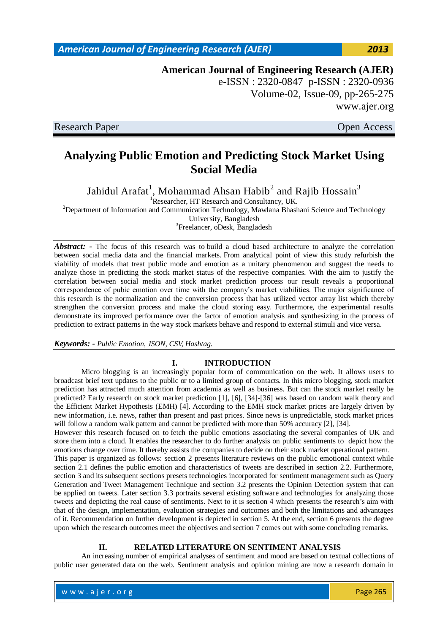## **American Journal of Engineering Research (AJER)** e-ISSN : 2320-0847 p-ISSN : 2320-0936

Volume-02, Issue-09, pp-265-275 www.ajer.org

Research Paper **Open Access** 

# **Analyzing Public Emotion and Predicting Stock Market Using Social Media**

Jahidul Arafat $^{\rm l}$ , Mohammad Ahsan Habib $^{\rm 2}$  and Rajib Hossain $^{\rm 3}$ 

<sup>1</sup>Researcher, HT Research and Consultancy, UK.

<sup>2</sup>Department of Information and Communication Technology, Mawlana Bhashani Science and Technology

University, Bangladesh

<sup>3</sup>Freelancer, oDesk, Bangladesh

*Abstract:* - The focus of this research was to build a cloud based architecture to analyze the correlation between social media data and the financial markets. From analytical point of view this study refurbish the viability of models that treat public mode and emotion as a unitary phenomenon and suggest the needs to analyze those in predicting the stock market status of the respective companies. With the aim to justify the correlation between social media and stock market prediction process our result reveals a proportional correspondence of pubic emotion over time with the company's market viabilities. The major significance of this research is the normalization and the conversion process that has utilized vector array list which thereby strengthen the conversion process and make the cloud storing easy. Furthermore, the experimental results demonstrate its improved performance over the factor of emotion analysis and synthesizing in the process of prediction to extract patterns in the way stock markets behave and respond to external stimuli and vice versa.

*Keywords: - Public Emotion, JSON, CSV, Hashtag.*

## **I. INTRODUCTION**

Micro blogging is an increasingly popular form of communication on the web. It allows users to broadcast brief text updates to the public or to a limited group of contacts. In this micro blogging, stock market prediction has attracted much attention from academia as well as business. But can the stock market really be predicted? Early research on stock market prediction [1], [6], [34]-[36] was based on random walk theory and the Efficient Market Hypothesis (EMH) [4]. According to the EMH stock market prices are largely driven by new information, i.e. news, rather than present and past prices. Since news is unpredictable, stock market prices will follow a random walk pattern and cannot be predicted with more than 50% accuracy [2], [34].

However this research focused on to fetch the public emotions associating the several companies of UK and store them into a cloud. It enables the researcher to do further analysis on public sentiments to depict how the emotions change over time. It thereby assists the companies to decide on their stock market operational pattern.

This paper is organized as follows: section 2 presents literature reviews on the public emotional context while section 2.1 defines the public emotion and characteristics of tweets are described in section 2.2. Furthermore, section 3 and its subsequent sections presets technologies incorporated for sentiment management such as Query Generation and Tweet Management Technique and section 3.2 presents the Opinion Detection system that can be applied on tweets. Later section 3.3 portraits several existing software and technologies for analyzing those tweets and depicting the real cause of sentiments. Next to it is section 4 which presents the research's aim with that of the design, implementation, evaluation strategies and outcomes and both the limitations and advantages of it. Recommendation on further development is depicted in section 5. At the end, section 6 presents the degree upon which the research outcomes meet the objectives and section 7 comes out with some concluding remarks.

## **II. RELATED LITERATURE ON SENTIMENT ANALYSIS**

An increasing number of empirical analyses of sentiment and mood are based on textual collections of public user generated data on the web. Sentiment analysis and opinion mining are now a research domain in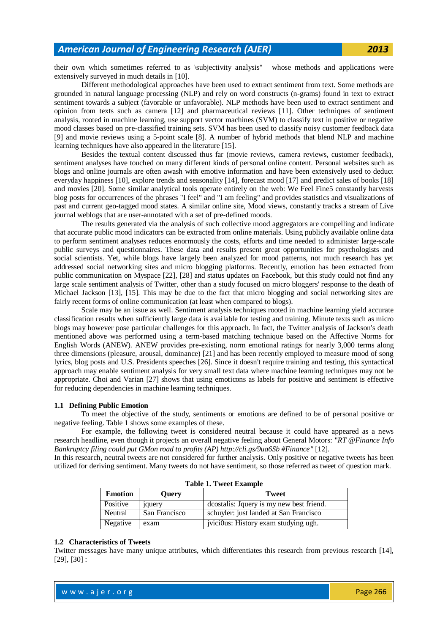their own which sometimes referred to as \subjectivity analysis" | whose methods and applications were extensively surveyed in much details in [10].

Different methodological approaches have been used to extract sentiment from text. Some methods are grounded in natural language processing (NLP) and rely on word constructs (n-grams) found in text to extract sentiment towards a subject (favorable or unfavorable). NLP methods have been used to extract sentiment and opinion from texts such as camera [12] and pharmaceutical reviews [11]. Other techniques of sentiment analysis, rooted in machine learning, use support vector machines (SVM) to classify text in positive or negative mood classes based on pre-classified training sets. SVM has been used to classify noisy customer feedback data [9] and movie reviews using a 5-point scale [8]. A number of hybrid methods that blend NLP and machine learning techniques have also appeared in the literature [15].

Besides the textual content discussed thus far (movie reviews, camera reviews, customer feedback), sentiment analyses have touched on many different kinds of personal online content. Personal websites such as blogs and online journals are often awash with emotive information and have been extensively used to deduct everyday happiness [10], explore trends and seasonality [14], forecast mood [17] and predict sales of books [18] and movies [20]. Some similar analytical tools operate entirely on the web: We Feel Fine5 constantly harvests blog posts for occurrences of the phrases "I feel" and "I am feeling" and provides statistics and visualizations of past and current geo-tagged mood states. A similar online site, Mood views, constantly tracks a stream of Live journal weblogs that are user-annotated with a set of pre-defined moods.

The results generated via the analysis of such collective mood aggregators are compelling and indicate that accurate public mood indicators can be extracted from online materials. Using publicly available online data to perform sentiment analyses reduces enormously the costs, efforts and time needed to administer large-scale public surveys and questionnaires. These data and results present great opportunities for psychologists and social scientists. Yet, while blogs have largely been analyzed for mood patterns, not much research has yet addressed social networking sites and micro blogging platforms. Recently, emotion has been extracted from public communication on Myspace [22], [28] and status updates on Facebook, but this study could not find any large scale sentiment analysis of Twitter, other than a study focused on micro bloggers' response to the death of Michael Jackson [13], [15]. This may be due to the fact that micro blogging and social networking sites are fairly recent forms of online communication (at least when compared to blogs).

Scale may be an issue as well. Sentiment analysis techniques rooted in machine learning yield accurate classification results when sufficiently large data is available for testing and training. Minute texts such as micro blogs may however pose particular challenges for this approach. In fact, the Twitter analysis of Jackson's death mentioned above was performed using a term-based matching technique based on the Affective Norms for English Words (ANEW). ANEW provides pre-existing, norm emotional ratings for nearly 3,000 terms along three dimensions (pleasure, arousal, dominance) [21] and has been recently employed to measure mood of song lyrics, blog posts and U.S. Presidents speeches [26]. Since it doesn't require training and testing, this syntactical approach may enable sentiment analysis for very small text data where machine learning techniques may not be appropriate. Choi and Varian [27] shows that using emoticons as labels for positive and sentiment is effective for reducing dependencies in machine learning techniques.

#### **1.1 Defining Public Emotion**

To meet the objective of the study, sentiments or emotions are defined to be of personal positive or negative feeling. Table 1 shows some examples of these.

For example, the following tweet is considered neutral because it could have appeared as a news research headline, even though it projects an overall negative feeling about General Motors: "*RT @Finance Info Bankruptcy filing could put GMon road to profits (AP) http://cli.gs/9ua6Sb #Finance"* [12]*.* 

In this research, neutral tweets are not considered for further analysis. Only positive or negative tweets has been utilized for deriving sentiment. Many tweets do not have sentiment, so those referred as tweet of question mark.

| <b>Emotion</b> | Ouerv          | <b>Tweet</b>                             |
|----------------|----------------|------------------------------------------|
| Positive       | <i>s</i> query | dcostalis: Jquery is my new best friend. |
| Neutral        | San Francisco  | schuyler: just landed at San Francisco   |
| Negative       | exam           | jvicious: History exam studying ugh.     |

**Table 1. Tweet Example**

#### **1.2 Characteristics of Tweets**

Twitter messages have many unique attributes, which differentiates this research from previous research [14], [29], [30] :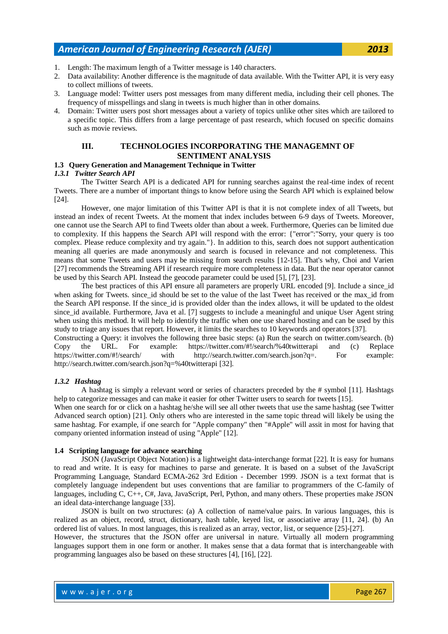- 1. Length: The maximum length of a Twitter message is 140 characters.
- 2. Data availability: Another difference is the magnitude of data available. With the Twitter API, it is very easy to collect millions of tweets.
- 3. Language model: Twitter users post messages from many different media, including their cell phones. The frequency of misspellings and slang in tweets is much higher than in other domains.
- 4. Domain: Twitter users post short messages about a variety of topics unlike other sites which are tailored to a specific topic. This differs from a large percentage of past research, which focused on specific domains such as movie reviews.

#### **III. TECHNOLOGIES INCORPORATING THE MANAGEMNT OF SENTIMENT ANALYSIS**

#### **1.3 Query Generation and Management Technique in Twitter**

#### *1.3.1 Twitter Search API*

The Twitter Search API is a dedicated API for running searches against the real-time index of recent Tweets. There are a number of important things to know before using the Search API which is explained below [24].

However, one major limitation of this Twitter API is that it is not complete index of all Tweets, but instead an index of recent Tweets. At the moment that index includes between 6-9 days of Tweets. Moreover, one cannot use the Search API to find Tweets older than about a week. Furthermore, Queries can be limited due to complexity. If this happens the Search API will respond with the error: {"error":"Sorry, your query is too complex. Please reduce complexity and try again."}. In addition to this, search does not support authentication meaning all queries are made anonymously and search is focused in relevance and not completeness. This means that some Tweets and users may be missing from search results [12-15]. That's why, Choi and Varien [27] recommends the Streaming API if research require more completeness in data. But the near operator cannot be used by this Search API. Instead the geocode parameter could be used [5], [7], [23].

The best practices of this API ensure all parameters are properly URL encoded [9]. Include a since\_id when asking for Tweets. since\_id should be set to the value of the last Tweet has received or the max\_id from the Search API response. If the since id is provided older than the index allows, it will be updated to the oldest since id available. Furthermore, Java et al. [7] suggests to include a meaningful and unique User Agent string when using this method. It will help to identify the traffic when one use shared hosting and can be used by this study to triage any issues that report. However, it limits the searches to 10 keywords and operators [37].

Constructing a Query: it involves the following three basic steps: (a) Run the search on twitter.com/search. (b) Copy the URL. For example: https://twitter.com/#!/search/%40twitterapi and (c) Replace https://twitter.com/#!/search/ with http://search.twitter.com/search.json?q=. For example: http://search.twitter.com/search.json?q=%40twitterapi [32].

#### *1.3.2 Hashtag*

A hashtag is simply a relevant word or series of characters preceded by the # symbol [11]. Hashtags help to categorize messages and can make it easier for other Twitter users to search for tweets [15].

When one search for or click on a hashtag he/she will see all other tweets that use the same hashtag (see Twitter Advanced search option) [21]. Only others who are interested in the same topic thread will likely be using the same hashtag. For example, if one search for "Apple company" then "#Apple" will assit in most for having that company oriented information instead of using "Apple" [12].

#### **1.4 Scripting language for advance searching**

JSON (JavaScript Object Notation) is a lightweight data-interchange format [22]. It is easy for humans to read and write. It is easy for machines to parse and generate. It is based on a subset of the JavaScript Programming Language, Standard ECMA-262 3rd Edition - December 1999. JSON is a text format that is completely language independent but uses conventions that are familiar to programmers of the C-family of languages, including C, C++, C#, Java, JavaScript, Perl, Python, and many others. These properties make JSON an ideal data-interchange language [33].

JSON is built on two structures: (a) A collection of name/value pairs. In various languages, this is realized as an object, record, struct, dictionary, hash table, keyed list, or associative array [11, 24]. (b) An ordered list of values. In most languages, this is realized as an array, vector, list, or sequence [25]-[27].

However, the structures that the JSON offer are universal in nature. Virtually all modern programming languages support them in one form or another. It makes sense that a data format that is interchangeable with programming languages also be based on these structures [4], [16], [22].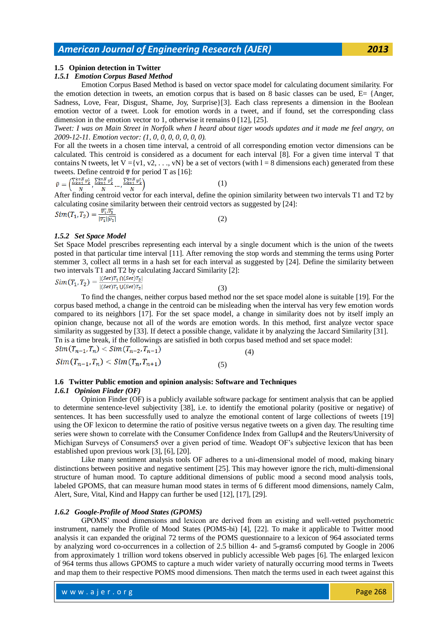#### **1.5 Opinion detection in Twitter**

#### *1.5.1 Emotion Corpus Based Method*

Emotion Corpus Based Method is based on vector space model for calculating document similarity. For the emotion detection in tweets, an emotion corpus that is based on 8 basic classes can be used, E= {Anger, Sadness, Love, Fear, Disgust, Shame, Joy, Surprise}[3]. Each class represents a dimension in the Boolean emotion vector of a tweet. Look for emotion words in a tweet, and if found, set the corresponding class dimension in the emotion vector to 1, otherwise it remains 0 [12], [25].

*Tweet: I was on Main Street in Norfolk when I heard about tiger woods updates and it made me feel angry, on 2009-12-11. Emotion vector: (1, 0, 0, 0, 0, 0, 0, 0).*

For all the tweets in a chosen time interval, a centroid of all corresponding emotion vector dimensions can be calculated. This centroid is considered as a document for each interval [8]. For a given time interval T that contains N tweets, let  $V = \{v_1, v_2, \ldots, v_N\}$  be a set of vectors (with  $l = 8$  dimensions each) generated from these tweets. Define centroid  $\overline{\mathbf{v}}$  for period T as [16]:

$$
\bar{v} = \left(\frac{\sum_{k=1}^{k=N} v_k^1}{N}, \frac{\sum_{k=N}^{k=N} v_k^2}{N}, \dots, \frac{\sum_{k=N}^{k=N} v_k^1}{N}\right) \tag{1}
$$

After finding centroid vector for each interval, define the opinion similarity between two intervals T1 and T2 by calculating cosine similarity between their centroid vectors as suggested by [24]:<br>  $Sim(T_1, T_2) = \frac{\overline{v_1} \cdot \overline{v_2}}{|\overline{v_1}||\overline{v_2}|}$  (2)

(2)

#### *1.5.2 Set Space Model*

Set Space Model prescribes representing each interval by a single document which is the union of the tweets posted in that particular time interval [11]. After removing the stop words and stemming the terms using Porter stemmer 3, collect all terms in a hash set for each interval as suggested by [24]. Define the similarity between two intervals T1 and T2 by calculating Jaccard Similarity [2]:<br>  $Sim(T_1, T_2) = \frac{|(Set)T_1 \cap (Set)T_2|}{|(Set)T_1 \cup (Set)T_2|}$  (3)

(3)

To find the changes, neither corpus based method nor the set space model alone is suitable [19]. For the corpus based method, a change in the centroid can be misleading when the interval has very few emotion words compared to its neighbors [17]. For the set space model, a change in similarity does not by itself imply an opinion change, because not all of the words are emotion words. In this method, first analyze vector space similarity as suggested by [33]. If detect a possible change, validate it by analyzing the Jaccard Similarity [31]. Tn is a time break, if the followings are satisfied in both corpus based method and set space model:

 $Sim(T_{n-1}, T_n) < Sim(T_{n-2}, T_{n-1})$  (4)  $Sim(T_{n-1}, T_n) < Sim(T_n, T_{n+1})$  (5)

#### **1.6 Twitter Public emotion and opinion analysis: Software and Techniques** *1.6.1 Opinion Finder (OF)*

Opinion Finder (OF) is a publicly available software package for sentiment analysis that can be applied to determine sentence-level subjectivity [38], i.e. to identify the emotional polarity (positive or negative) of sentences. It has been successfully used to analyze the emotional content of large collections of tweets [19] using the OF lexicon to determine the ratio of positive versus negative tweets on a given day. The resulting time series were shown to correlate with the Consumer Confidence Index from Gallup4 and the Reuters/University of Michigan Surveys of Consumers5 over a given period of time. Weadopt OF's subjective lexicon that has been established upon previous work [\[3\],](http://dl.acm.org/citation.cfm?id=2021114&CFID=89582881&CFTOKEN=31700138) [6], [20].

Like many sentiment analysis tools OF adheres to a uni-dimensional model of mood, making binary distinctions between positive and negative sentiment [25]. This may however ignore the rich, multi-dimensional structure of human mood. To capture additional dimensions of public mood a second mood analysis tools, labeled GPOMS, that can measure human mood states in terms of 6 different mood dimensions, namely Calm, Alert, Sure, Vital, Kind and Happy can further be used [12], [17], [29].

#### *1.6.2 Google-Profile of Mood States (GPOMS)*

GPOMS' mood dimensions and lexicon are derived from an existing and well-vetted psychometric instrument, namely the Profile of Mood States (POMS-bi) [4], [22]. To make it applicable to Twitter mood analysis it can expanded the original 72 terms of the POMS questionnaire to a lexicon of 964 associated terms by analyzing word co-occurrences in a collection of 2.5 billion 4- and 5-grams6 computed by Google in 2006 from approximately 1 trillion word tokens observed in publicly accessible Web pages [6]. The enlarged lexicon of 964 terms thus allows GPOMS to capture a much wider variety of naturally occurring mood terms in Tweets and map them to their respective POMS mood dimensions. Then match the terms used in each tweet against this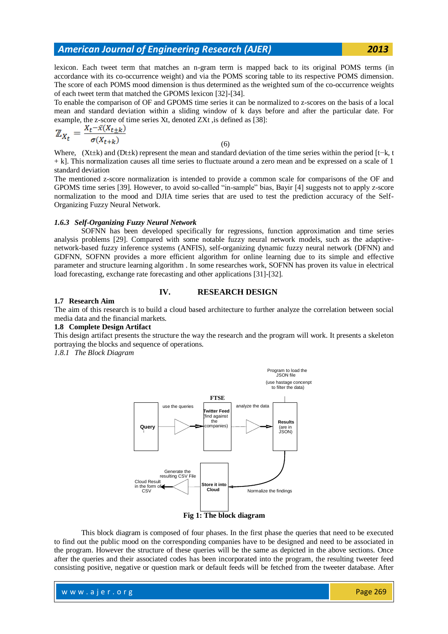lexicon. Each tweet term that matches an n-gram term is mapped back to its original POMS terms (in accordance with its co-occurrence weight) and via the POMS scoring table to its respective POMS dimension. The score of each POMS mood dimension is thus determined as the weighted sum of the co-occurrence weights of each tweet term that matched the GPOMS lexicon [32]-[34].

To enable the comparison of OF and GPOMS time series it can be normalized to z-scores on the basis of a local mean and standard deviation within a sliding window of k days before and after the particular date. For example, the z-score of time series Xt, denoted ZXt ,is defined as [38]:

$$
\mathbb{Z}_{X_t} = \frac{X_t - \bar{x}(X_{t+k})}{\sigma(X_{t+k})}
$$

(6)

Where, (Xt±k) and (Dt±k) represent the mean and standard deviation of the time series within the period [t−k, t + k]. This normalization causes all time series to fluctuate around a zero mean and be expressed on a scale of 1 standard deviation

The mentioned z-score normalization is intended to provide a common scale for comparisons of the OF and GPOMS time series [39]. However, to avoid so-called "in-sample" bias, Bayir [4] suggests not to apply z-score normalization to the mood and DJIA time series that are used to test the prediction accuracy of the Self-Organizing Fuzzy Neural Network.

#### *1.6.3 Self-Organizing Fuzzy Neural Network*

SOFNN has been developed specifically for regressions, function approximation and time series analysis problems [29]. Compared with some notable fuzzy neural network models, such as the adaptivenetwork-based fuzzy inference systems (ANFIS), self-organizing dynamic fuzzy neural network (DFNN) and GDFNN, SOFNN provides a more efficient algorithm for online learning due to its simple and effective parameter and structure learning algorithm . In some researches work, SOFNN has proven its value in electrical load forecasting, exchange rate forecasting and other applications [31]-[32].

### **IV. RESEARCH DESIGN**

#### **1.7 Research Aim**

The aim of this research is to build a cloud based architecture to further analyze the correlation between social media data and the financial markets.

#### **1.8 Complete Design Artifact**

This design artifact presents the structure the way the research and the program will work. It presents a skeleton portraying the blocks and sequence of operations.

*1.8.1 The Block Diagram*



This block diagram is composed of four phases. In the first phase the queries that need to be executed to find out the public mood on the corresponding companies have to be designed and need to be associated in the program. However the structure of these queries will be the same as depicted in the above sections. Once after the queries and their associated codes has been incorporated into the program, the resulting tweeter feed consisting positive, negative or question mark or default feeds will be fetched from the tweeter database. After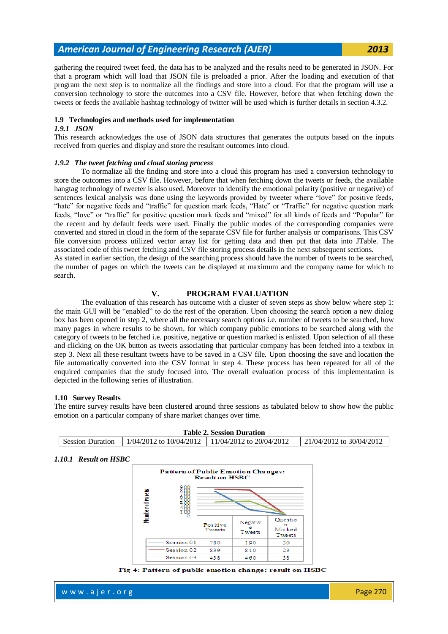gathering the required tweet feed, the data has to be analyzed and the results need to be generated in JSON. For that a program which will load that JSON file is preloaded a prior. After the loading and execution of that program the next step is to normalize all the findings and store into a cloud. For that the program will use a conversion technology to store the outcomes into a CSV file. However, before that when fetching down the tweets or feeds the available hashtag technology of twitter will be used which is further details in section 4.3.2.

#### **1.9 Technologies and methods used for implementation**

#### *1.9.1 JSON*

This research acknowledges the use of JSON data structures that generates the outputs based on the inputs received from queries and display and store the resultant outcomes into cloud.

#### *1.9.2 The tweet fetching and cloud storing process*

To normalize all the finding and store into a cloud this program has used a conversion technology to store the outcomes into a CSV file. However, before that when fetching down the tweets or feeds, the available hangtag technology of tweeter is also used. Moreover to identify the emotional polarity (positive or negative) of sentences lexical analysis was done using the keywords provided by tweeter where "love" for positive feeds, "hate" for negative feeds and "traffic" for question mark feeds, "Hate" or "Traffic" for negative question mark feeds, "love" or "traffic" for positive question mark feeds and "mixed" for all kinds of feeds and "Popular" for the recent and by default feeds were used. Finally the public modes of the corresponding companies were converted and stored in cloud in the form of the separate CSV file for further analysis or comparisons. This CSV file conversion process utilized vector array list for getting data and then put that data into JTable. The associated code of this tweet fetching and CSV file storing process details in the next subsequent sections. As stated in earlier section, the design of the searching process should have the number of tweets to be searched, the number of pages on which the tweets can be displayed at maximum and the company name for which to search.

#### **V. PROGRAM EVALUATION**

The evaluation of this research has outcome with a cluster of seven steps as show below where step 1: the main GUI will be "enabled" to do the rest of the operation. Upon choosing the search option a new dialog box has been opened in step 2, where all the necessary search options i.e. number of tweets to be searched, how many pages in where results to be shown, for which company public emotions to be searched along with the category of tweets to be fetched i.e. positive, negative or question marked is enlisted. Upon selection of all these and clicking on the OK button as tweets associating that particular company has been fetched into a textbox in step 3. Next all these resultant tweets have to be saved in a CSV file. Upon choosing the save and location the file automatically converted into the CSV format in step 4. These process has been repeated for all of the enquired companies that the study focused into. The overall evaluation process of this implementation is depicted in the following series of illustration.

#### **1.10 Survey Results**

The entire survey results have been clustered around three sessions as tabulated below to show how the public emotion on a particular company of share market changes over time.

| <b>Table 2. Session Duration</b> |  |                                                            |                              |  |
|----------------------------------|--|------------------------------------------------------------|------------------------------|--|
| <b>Session Duration</b>          |  | $1/04/2012$ to $10/04/2012$   $11/04/2012$ to $20/04/2012$ | $21/04/2012$ to $30/04/2012$ |  |

#### *1.10.1 Result on HSBC*



Fig 4: Pattern of public emotion change: result on HSBC

w w w . a jer.org entertainment and the second service of the Page 270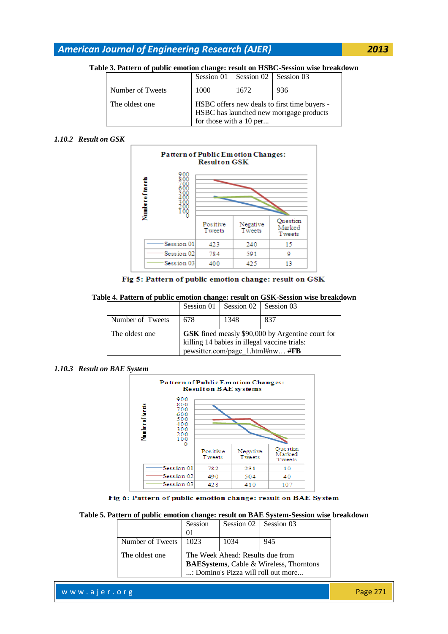### **Table 3. Pattern of public emotion change: result on HSBC-Session wise breakdown**

|                  |                                              | Session 01   Session 02   Session 03 |     |
|------------------|----------------------------------------------|--------------------------------------|-----|
| Number of Tweets | 1000                                         | 1672                                 | 936 |
| The oldest one   | HSBC offers new deals to first time buyers - |                                      |     |
|                  | HSBC has launched new mortgage products      |                                      |     |
|                  | for those with a 10 per                      |                                      |     |

#### *1.10.2 Result on GSK*



Fig 5: Pattern of public emotion change: result on GSK

| Table 4. Pattern of public emotion change: result on GSK-Session wise breakdown |  |  |  |  |
|---------------------------------------------------------------------------------|--|--|--|--|
|---------------------------------------------------------------------------------|--|--|--|--|

|                  |                                                                                                                                      | Session 01   Session 02   Session 03 |     |
|------------------|--------------------------------------------------------------------------------------------------------------------------------------|--------------------------------------|-----|
| Number of Tweets | 678                                                                                                                                  | 1348                                 | 837 |
| The oldest one   | GSK fined measly \$90,000 by Argentine court for<br>killing 14 babies in illegal vaccine trials:<br>pewsitter.com/page 1.html#nw #FB |                                      |     |

#### *1.10.3 Result on BAE System*



Fig 6: Pattern of public emotion change: result on BAE System

#### **Table 5. Pattern of public emotion change: result on BAE System-Session wise breakdown**

|                  | Session | Session $02$ Session 03          |                                                                                        |
|------------------|---------|----------------------------------|----------------------------------------------------------------------------------------|
|                  | $_{0}$  |                                  |                                                                                        |
| Number of Tweets | 1023    | 1034                             | 945                                                                                    |
| The oldest one   |         | The Week Ahead: Results due from | <b>BAESystems</b> , Cable & Wireless, Thorntons<br>: Domino's Pizza will roll out more |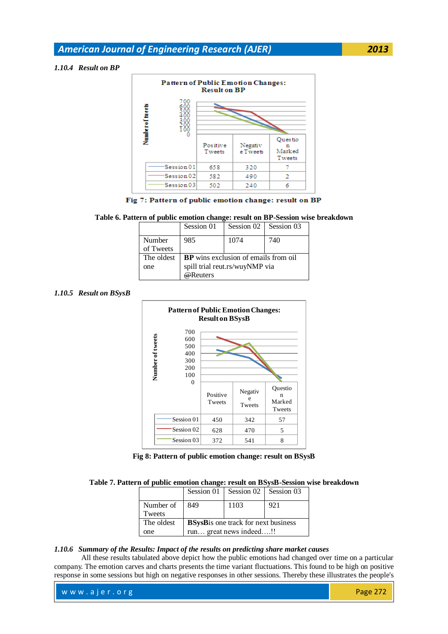#### *1.10.4 Result on BP*



Fig 7: Pattern of public emotion change: result on BP

#### **Table 6. Pattern of public emotion change: result on BP-Session wise breakdown**

|            | Session 01                                  | Session 02   Session 03 |     |
|------------|---------------------------------------------|-------------------------|-----|
| Number     | 985                                         | 1074                    | 740 |
| of Tweets  |                                             |                         |     |
| The oldest | <b>BP</b> wins exclusion of emails from oil |                         |     |
| one        | spill trial reut.rs/wuyNMP via              |                         |     |
|            | @Reuters                                    |                         |     |

#### *1.10.5 Result on BSysB*



**Fig 8: Pattern of public emotion change: result on BSysB**

| Table 7. Pattern of public emotion change: result on BSysB-Session wise breakdown |  |  |
|-----------------------------------------------------------------------------------|--|--|
|                                                                                   |  |  |

|            | Session $01$                                | Session 02   Session 03 |     |
|------------|---------------------------------------------|-------------------------|-----|
| Number of  | 849                                         | 1103                    | 921 |
| Tweets     |                                             |                         |     |
| The oldest | <b>BSysB</b> is one track for next business |                         |     |
| one        | run great news indeed!!                     |                         |     |

## *1.10.6 Summary of the Results: Impact of the results on predicting share market causes*

All these results tabulated above depict how the public emotions had changed over time on a particular company. The emotion carves and charts presents the time variant fluctuations. This found to be high on positive response in some sessions but high on negative responses in other sessions. Thereby these illustrates the people's

| www.ajer.org | <b>Page 272</b> |
|--------------|-----------------|
|              |                 |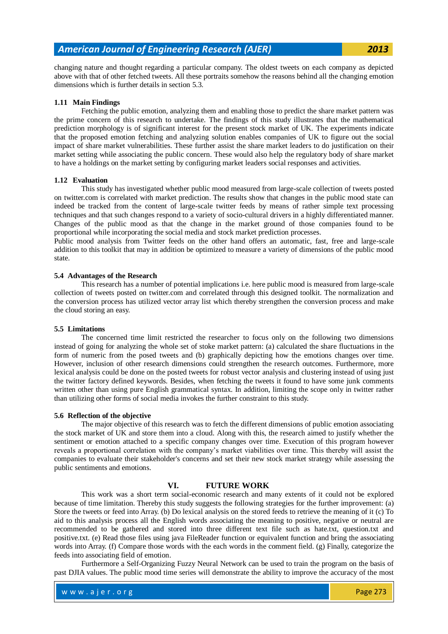changing nature and thought regarding a particular company. The oldest tweets on each company as depicted above with that of other fetched tweets. All these portraits somehow the reasons behind all the changing emotion dimensions which is further details in section 5.3.

#### **1.11 Main Findings**

Fetching the public emotion, analyzing them and enabling those to predict the share market pattern was the prime concern of this research to undertake. The findings of this study illustrates that the mathematical prediction morphology is of significant interest for the present stock market of UK. The experiments indicate that the proposed emotion fetching and analyzing solution enables companies of UK to figure out the social impact of share market vulnerabilities. These further assist the share market leaders to do justification on their market setting while associating the public concern. These would also help the regulatory body of share market to have a holdings on the market setting by configuring market leaders social responses and activities.

#### **1.12 Evaluation**

This study has investigated whether public mood measured from large-scale collection of tweets posted on twitter.com is correlated with market prediction. The results show that changes in the public mood state can indeed be tracked from the content of large-scale twitter feeds by means of rather simple text processing techniques and that such changes respond to a variety of socio-cultural drivers in a highly differentiated manner. Changes of the public mood as that the change in the market ground of those companies found to be proportional while incorporating the social media and stock market prediction processes.

Public mood analysis from Twitter feeds on the other hand offers an automatic, fast, free and large-scale addition to this toolkit that may in addition be optimized to measure a variety of dimensions of the public mood state.

#### **5.4 Advantages of the Research**

This research has a number of potential implications i.e. here public mood is measured from large-scale collection of tweets posted on twitter.com and correlated through this designed toolkit. The normalization and the conversion process has utilized vector array list which thereby strengthen the conversion process and make the cloud storing an easy.

#### **5.5 Limitations**

The concerned time limit restricted the researcher to focus only on the following two dimensions instead of going for analyzing the whole set of stoke market pattern: (a) calculated the share fluctuations in the form of numeric from the posed tweets and (b) graphically depicting how the emotions changes over time. However, inclusion of other research dimensions could strengthen the research outcomes. Furthermore, more lexical analysis could be done on the posted tweets for robust vector analysis and clustering instead of using just the twitter factory defined keywords. Besides, when fetching the tweets it found to have some junk comments written other than using pure English grammatical syntax. In addition, limiting the scope only in twitter rather than utilizing other forms of social media invokes the further constraint to this study.

#### **5.6 Reflection of the objective**

The major objective of this research was to fetch the different dimensions of public emotion associating the stock market of UK and store them into a cloud. Along with this, the research aimed to justify whether the sentiment or emotion attached to a specific company changes over time. Execution of this program however reveals a proportional correlation with the company's market viabilities over time. This thereby will assist the companies to evaluate their stakeholder's concerns and set their new stock market strategy while assessing the public sentiments and emotions.

### **VI. FUTURE WORK**

This work was a short term social-economic research and many extents of it could not be explored because of time limitation. Thereby this study suggests the following strategies for the further improvement: (a) Store the tweets or feed into Array. (b) Do lexical analysis on the stored feeds to retrieve the meaning of it (c) To aid to this analysis process all the English words associating the meaning to positive, negative or neutral are recommended to be gathered and stored into three different text file such as hate.txt, question.txt and positive.txt. (e) Read those files using java FileReader function or equivalent function and bring the associating words into Array. (f) Compare those words with the each words in the comment field. (g) Finally, categorize the feeds into associating field of emotion.

Furthermore a Self-Organizing Fuzzy Neural Network can be used to train the program on the basis of past DJIA values. The public mood time series will demonstrate the ability to improve the accuracy of the most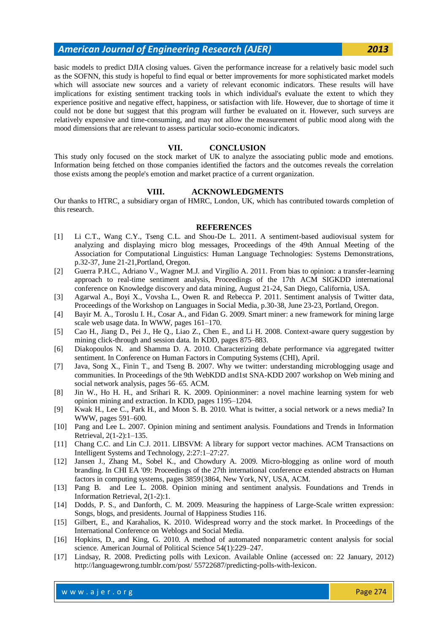basic models to predict DJIA closing values. Given the performance increase for a relatively basic model such as the SOFNN, this study is hopeful to find equal or better improvements for more sophisticated market models which will associate new sources and a variety of relevant economic indicators. These results will have implications for existing sentiment tracking tools in which individual's evaluate the extent to which they experience positive and negative effect, happiness, or satisfaction with life. However, due to shortage of time it could not be done but suggest that this program will further be evaluated on it. However, such surveys are relatively expensive and time-consuming, and may not allow the measurement of public mood along with the mood dimensions that are relevant to assess particular socio-economic indicators.

#### **VII. CONCLUSION**

This study only focused on the stock market of UK to analyze the associating public mode and emotions. Information being fetched on those companies identified the factors and the outcomes reveals the correlation those exists among the people's emotion and market practice of a current organization.

#### **VIII. ACKNOWLEDGMENTS**

Our thanks to HTRC, a subsidiary organ of HMRC, London, UK, which has contributed towards completion of this research.

#### **REFERENCES**

- [1] Li C.T., Wang C.Y., Tseng C.L. and Shou-De L. 2011. A sentiment-based audiovisual system for analyzing and displaying micro blog messages, Proceedings of the 49th Annual Meeting of the Association for Computational Linguistics: Human Language Technologies: Systems Demonstrations, p.32-37, June 21-21,Portland, Oregon.
- [2] Guerra P.H.C., Adriano V., Wagner M.J. and Virgílio A. 2011. From bias to opinion: a transfer-learning approach to real-time sentiment analysis, Proceedings of the 17th ACM SIGKDD international conference on Knowledge discovery and data mining, August 21-24, San Diego, California, USA.
- [3] Agarwal A., Boyi X., Vovsha L., Owen R. and Rebecca P. 2011. Sentiment analysis of Twitter data, Proceedings of the Workshop on Languages in Social Media, p.30-38, June 23-23, Portland, Oregon.
- [4] Bayir M. A., Toroslu I. H., Cosar A., and Fidan G. 2009. Smart miner: a new framework for mining large scale web usage data. In WWW, pages 161–170.
- [5] Cao H., Jiang D., Pei J., He Q., Liao Z., Chen E., and Li H. 2008. Context-aware query suggestion by mining click-through and session data. In KDD, pages 875–883.
- [6] Diakopoulos N. and Shamma D. A. 2010. Characterizing debate performance via aggregated twitter sentiment. In Conference on Human Factors in Computing Systems (CHI), April.
- [7] Java, Song X., Finin T., and Tseng B. 2007. Why we twitter: understanding microblogging usage and communities. In Proceedings of the 9th WebKDD and1st SNA-KDD 2007 workshop on Web mining and social network analysis, pages 56–65. ACM.
- [8] Jin W., Ho H. H., and Srihari R. K. 2009. Opinionminer: a novel machine learning system for web opinion mining and extraction. In KDD, pages 1195–1204.
- [9] Kwak H., Lee C., Park H., and Moon S. B. 2010. What is twitter, a social network or a news media? In WWW, pages 591–600.
- [10] Pang and Lee L. 2007. Opinion mining and sentiment analysis. Foundations and Trends in Information Retrieval, 2(1-2):1–135.
- [11] Chang C.C. and Lin C.J. 2011. LIBSVM: A library for support vector machines. ACM Transactions on Intelligent Systems and Technology, 2:27:1–27:27.
- [12] Jansen J., Zhang M., Sobel K., and Chowdury A. 2009. Micro-blogging as online word of mouth branding. In CHI EA '09: Proceedings of the 27th international conference extended abstracts on Human factors in computing systems, pages 3859{3864, New York, NY, USA, ACM.
- [13] Pang B. and Lee L. 2008. Opinion mining and sentiment analysis. Foundations and Trends in Information Retrieval, 2(1-2):1.
- [14] Dodds, P. S., and Danforth, C. M. 2009. Measuring the happiness of Large-Scale written expression: Songs, blogs, and presidents. Journal of Happiness Studies 116.
- [15] Gilbert, E., and Karahalios, K. 2010. Widespread worry and the stock market. In Proceedings of the International Conference on Weblogs and Social Media.
- [16] Hopkins, D., and King, G. 2010. A method of automated nonparametric content analysis for social science. American Journal of Political Science 54(1):229–247.
- [17] Lindsay, R. 2008. Predicting polls with Lexicon. Available Online (accessed on: 22 January, 2012) http://languagewrong.tumblr.com/post/ 55722687/predicting-polls-with-lexicon.

w w w . a jer.org entertainment and the second service of the Page 274